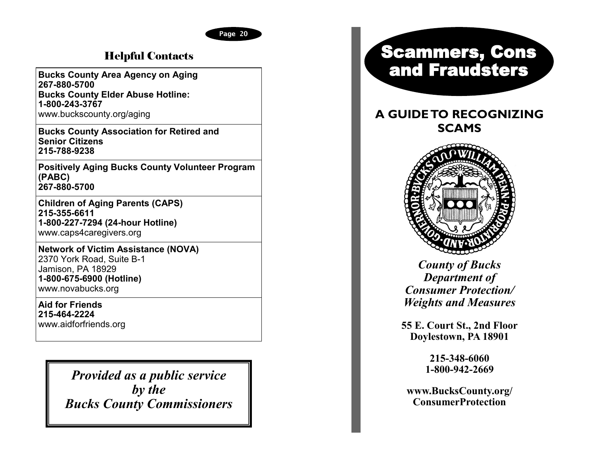

# Helpful Contacts

**Bucks County Area Agency on Aging 267-880-5700 Bucks County Elder Abuse Hotline: 1-800-243-3767** www.buckscounty.org/aging

**Bucks County Association for Retired and Senior Citizens 215-788-9238**

**Positively Aging Bucks County Volunteer Program (PABC) 267-880-5700**

**Children of Aging Parents (CAPS) 215-355-6611 1-800-227-7294 (24-hour Hotline)** www.caps4caregivers.org

**Network of Victim Assistance (NOVA)** 2370 York Road, Suite B-1 Jamison, PA 18929 **1-800-675-6900 (Hotline)** www.novabucks.org

**Aid for Friends 215-464-2224** www.aidforfriends.org

> *Provided as a public service by the Bucks County Commissioners*

# Scammers, Cons and Fraudsters

# **A GUIDE TO RECOGNIZING SCAMS**



*County of Bucks Department of Consumer Protection/ Weights and Measures*

**55 E. Court St., 2nd Floor Doylestown, PA 18901**

> **215-348-6060 1-800-942-2669**

**www.BucksCounty.org/ ConsumerProtection**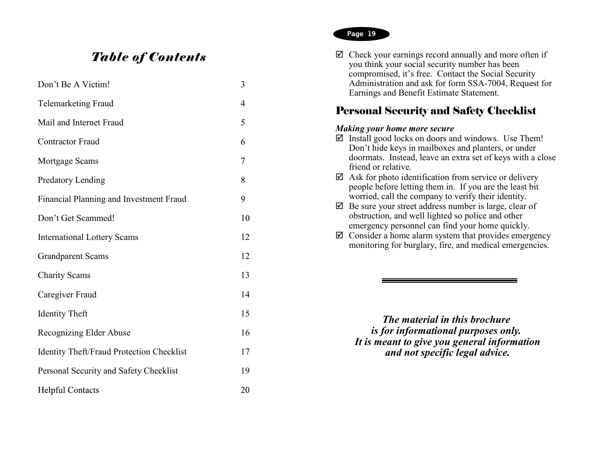# *Table of Contents*

| Don't Be A Victim!                               | 3  |
|--------------------------------------------------|----|
| Telemarketing Fraud                              | 4  |
| Mail and Internet Fraud                          | 5  |
| <b>Contractor Fraud</b>                          | 6  |
| Mortgage Scams                                   | 7  |
| <b>Predatory Lending</b>                         | 8  |
| Financial Planning and Investment Fraud          | 9  |
| Don't Get Scammed!                               | 10 |
| <b>International Lottery Scams</b>               | 12 |
| <b>Grandparent Scams</b>                         | 12 |
| <b>Charity Scams</b>                             | 13 |
| Caregiver Fraud                                  | 14 |
| <b>Identity Theft</b>                            | 15 |
| Recognizing Elder Abuse                          | 16 |
| <b>Identity Theft/Fraud Protection Checklist</b> | 17 |
| Personal Security and Safety Checklist           | 19 |
| <b>Helpful Contacts</b>                          | 20 |

#### **Page 19**

 $\boxtimes$  Check your earnings record annually and more often if you think your social security number has been compromised, it's free. Contact the Social Security Administration and ask for form SSA-7004, Request for Earnings and Benefit Estimate Statement.

### Personal Security and Safety Checklist

#### *Making your home more secure*

- $\boxtimes$  Install good locks on doors and windows. Use Them! Don't hide keys in mailboxes and planters, or under doormats. Instead, leave an extra set of keys with a close friend or relative.
- $\boxtimes$  Ask for photo identification from service or delivery people before letting them in. If you are the least bit worried, call the company to verify their identity.
- $\boxtimes$  Be sure your street address number is large, clear of obstruction, and well lighted so police and other emergency personnel can find your home quickly.
- $\boxtimes$  Consider a home alarm system that provides emergency monitoring for burglary, fire, and medical emergencies.

*The material in this brochure is for informational purposes only. It is meant to give you general information and not specific legal advice.*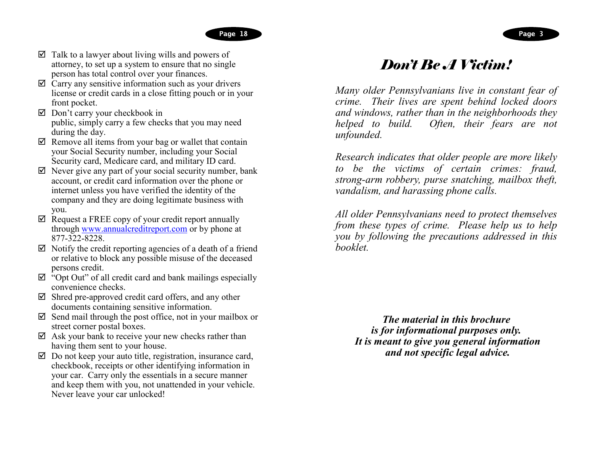

- $\boxtimes$  Talk to a lawyer about living wills and powers of attorney, to set up a system to ensure that no single person has total control over your finances.
- $\boxtimes$  Carry any sensitive information such as your drivers license or credit cards in a close fitting pouch or in your front pocket.
- $\boxtimes$  Don't carry your checkbook in public, simply carry a few checks that you may need during the day.
- $\boxtimes$  Remove all items from your bag or wallet that contain your Social Security number, including your Social Security card, Medicare card, and military ID card.
- $\boxtimes$  Never give any part of your social security number, bank account, or credit card information over the phone or internet unless you have verified the identity of the company and they are doing legitimate business with you.
- $\boxtimes$  Request a FREE copy of your credit report annually through [www.annualcreditreport.com](http://www.annualcreditreport.com/) or by phone at 877-322-8228.
- $\boxtimes$  Notify the credit reporting agencies of a death of a friend or relative to block any possible misuse of the deceased persons credit.
- $\boxtimes$  "Opt Out" of all credit card and bank mailings especially convenience checks.
- $\boxtimes$  Shred pre-approved credit card offers, and any other documents containing sensitive information.
- $\boxtimes$  Send mail through the post office, not in your mailbox or street corner postal boxes.
- $\boxtimes$  Ask your bank to receive your new checks rather than having them sent to your house.
- $\boxtimes$  Do not keep your auto title, registration, insurance card, checkbook, receipts or other identifying information in your car. Carry only the essentials in a secure manner and keep them with you, not unattended in your vehicle. Never leave your car unlocked!

# *Don't Be A Victim!*

*Many older Pennsylvanians live in constant fear of crime. Their lives are spent behind locked doors and windows, rather than in the neighborhoods they helped to build. Often, their fears are not unfounded.*

*Research indicates that older people are more likely to be the victims of certain crimes: fraud, strong-arm robbery, purse snatching, mailbox theft, vandalism, and harassing phone calls.*

*All older Pennsylvanians need to protect themselves from these types of crime. Please help us to help you by following the precautions addressed in this booklet.*

*The material in this brochure is for informational purposes only. It is meant to give you general information and not specific legal advice.*

**Page 3**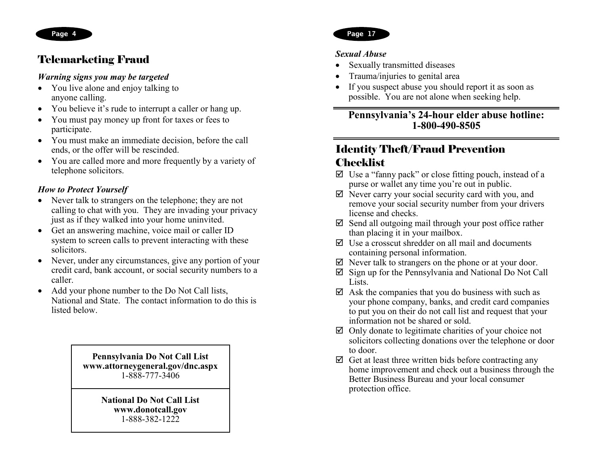### Telemarketing Fraud

#### *Warning signs you may be targeted*

- You live alone and enjoy talking to anyone calling.
- You believe it's rude to interrupt a caller or hang up.
- You must pay money up front for taxes or fees to participate.
- You must make an immediate decision, before the call ends, or the offer will be rescinded.
- You are called more and more frequently by a variety of telephone solicitors.

### *How to Protect Yourself*

- Never talk to strangers on the telephone; they are not calling to chat with you. They are invading your privacy just as if they walked into your home uninvited.
- Get an answering machine, voice mail or caller ID system to screen calls to prevent interacting with these solicitors.
- Never, under any circumstances, give any portion of your credit card, bank account, or social security numbers to a caller.
- Add your phone number to the Do Not Call lists, National and State. The contact information to do this is listed below.

**Pennsylvania Do Not Call List www.attorneygeneral.gov/dnc.aspx** 1-888-777-3406

> **National Do Not Call List www.donotcall.gov** 1-888-382-1222

### **Page 17**

#### *Sexual Abuse*

- Sexually transmitted diseases
- Trauma/injuries to genital area
- If you suspect abuse you should report it as soon as possible. You are not alone when seeking help.

### **Pennsylvania's 24-hour elder abuse hotline: 1-800-490-8505**

### Identity Theft/Fraud Prevention **Checklist**

- $\boxtimes$  Use a "fanny pack" or close fitting pouch, instead of a purse or wallet any time you're out in public.
- $\boxtimes$  Never carry your social security card with you, and remove your social security number from your drivers license and checks.
- $\boxtimes$  Send all outgoing mail through your post office rather than placing it in your mailbox.
- $\boxtimes$  Use a crosscut shredder on all mail and documents containing personal information.
- $\boxtimes$  Never talk to strangers on the phone or at your door.
- $\boxtimes$  Sign up for the Pennsylvania and National Do Not Call Lists.
- $\boxtimes$  Ask the companies that you do business with such as your phone company, banks, and credit card companies to put you on their do not call list and request that your information not be shared or sold.
- $\boxtimes$  Only donate to legitimate charities of your choice not solicitors collecting donations over the telephone or door to door.
- $\boxtimes$  Get at least three written bids before contracting any home improvement and check out a business through the Better Business Bureau and your local consumer protection office.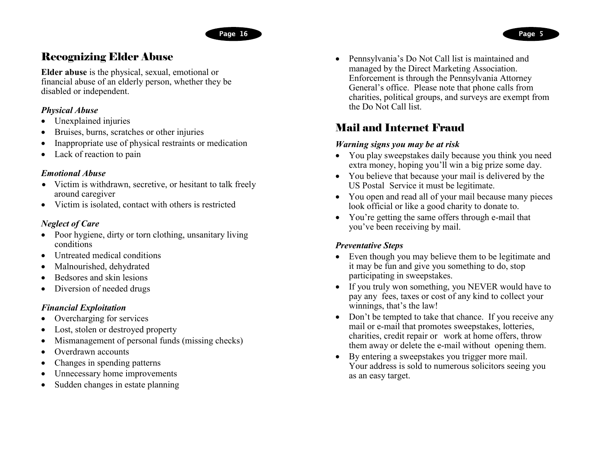## Recognizing Elder Abuse

**Elder abuse** is the physical, sexual, emotional or financial abuse of an elderly person, whether they be disabled or independent.

### *Physical Abuse*

- Unexplained injuries
- Bruises, burns, scratches or other injuries
- Inappropriate use of physical restraints or medication
- Lack of reaction to pain

#### *Emotional Abuse*

- Victim is withdrawn, secretive, or hesitant to talk freely around caregiver
- Victim is isolated, contact with others is restricted

### *Neglect of Care*

- Poor hygiene, dirty or torn clothing, unsanitary living conditions
- Untreated medical conditions
- Malnourished, dehydrated
- Bedsores and skin lesions
- Diversion of needed drugs

### *Financial Exploitation*

- Overcharging for services
- Lost, stolen or destroyed property
- Mismanagement of personal funds (missing checks)
- Overdrawn accounts
- Changes in spending patterns
- Unnecessary home improvements
- Sudden changes in estate planning

• Pennsylvania's Do Not Call list is maintained and managed by the Direct Marketing Association. Enforcement is through the Pennsylvania Attorney General's office. Please note that phone calls from charities, political groups, and surveys are exempt from the Do Not Call list.

# Mail and Internet Fraud

### *Warning signs you may be at risk*

- You play sweepstakes daily because you think you need extra money, hoping you'll win a big prize some day.
- You believe that because your mail is delivered by the US Postal Service it must be legitimate.
- You open and read all of your mail because many pieces look official or like a good charity to donate to.
- You're getting the same offers through e-mail that you've been receiving by mail.

### *Preventative Steps*

- Even though you may believe them to be legitimate and it may be fun and give you something to do, stop participating in sweepstakes.
- If you truly won something, you NEVER would have to pay any fees, taxes or cost of any kind to collect your winnings, that's the law!
- Don't be tempted to take that chance. If you receive any mail or e-mail that promotes sweepstakes, lotteries, charities, credit repair or work at home offers, throw them away or delete the e-mail without opening them.
- By entering a sweepstakes you trigger more mail. Your address is sold to numerous solicitors seeing you as an easy target.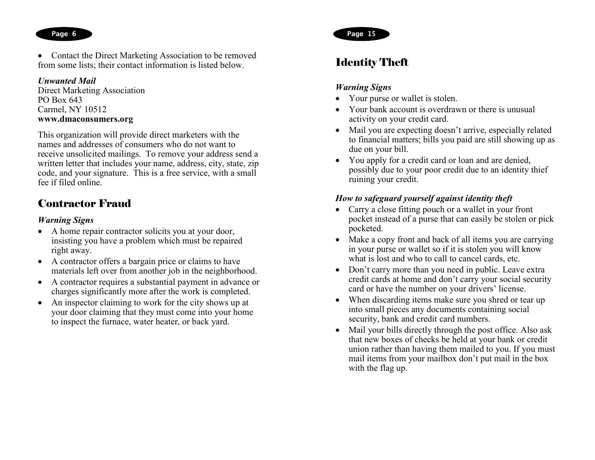• Contact the Direct Marketing Association to be removed from some lists; their contact information is listed below.

#### *Unwanted Mail*

Direct Marketing Association PO Box 643 Carmel, NY 10512 **www.dmaconsumers.org**

This organization will provide direct marketers with the names and addresses of consumers who do not want to receive unsolicited mailings. To remove your address send a written letter that includes your name, address, city, state, zip code, and your signature. This is a free service, with a small fee if filed online.

### Contractor Fraud

#### *Warning Signs*

- A home repair contractor solicits you at your door, insisting you have a problem which must be repaired right away.
- A contractor offers a bargain price or claims to have materials left over from another job in the neighborhood.
- A contractor requires a substantial payment in advance or charges significantly more after the work is completed.
- An inspector claiming to work for the city shows up at your door claiming that they must come into your home to inspect the furnace, water heater, or back yard.



### Identity Theft

### *Warning Signs*

- Your purse or wallet is stolen.
- Your bank account is overdrawn or there is unusual activity on your credit card.
- Mail you are expecting doesn't arrive, especially related to financial matters; bills you paid are still showing up as due on your bill.
- You apply for a credit card or loan and are denied, possibly due to your poor credit due to an identity thief ruining your credit.

### *How to safeguard yourself against identity theft*

- Carry a close fitting pouch or a wallet in your front pocket instead of a purse that can easily be stolen or pick pocketed.
- Make a copy front and back of all items you are carrying in your purse or wallet so if it is stolen you will know what is lost and who to call to cancel cards, etc.
- Don't carry more than you need in public. Leave extra credit cards at home and don't carry your social security card or have the number on your drivers' license.
- When discarding items make sure you shred or tear up into small pieces any documents containing social security, bank and credit card numbers.
- Mail your bills directly through the post office. Also ask that new boxes of checks be held at your bank or credit union rather than having them mailed to you. If you must mail items from your mailbox don't put mail in the box with the flag up.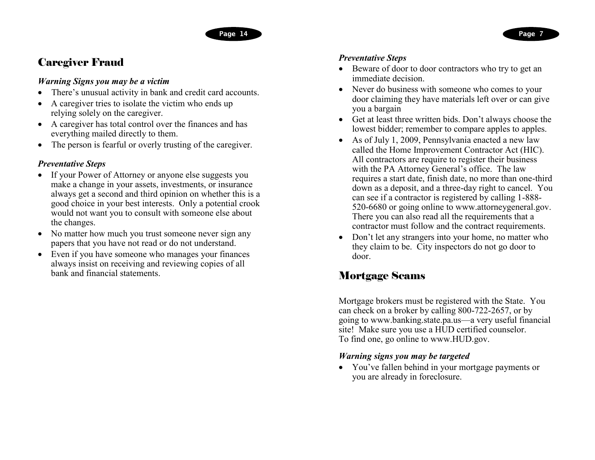## Caregiver Fraud

### *Warning Signs you may be a victim*

- There's unusual activity in bank and credit card accounts.
- A caregiver tries to isolate the victim who ends up relying solely on the caregiver.
- A caregiver has total control over the finances and has everything mailed directly to them.
- The person is fearful or overly trusting of the caregiver.

### *Preventative Steps*

- If your Power of Attorney or anyone else suggests you make a change in your assets, investments, or insurance always get a second and third opinion on whether this is a good choice in your best interests. Only a potential crook would not want you to consult with someone else about the changes.
- No matter how much you trust someone never sign any papers that you have not read or do not understand.
- Even if you have someone who manages your finances always insist on receiving and reviewing copies of all bank and financial statements.

### *Preventative Steps*

- Beware of door to door contractors who try to get an immediate decision.
- Never do business with someone who comes to your door claiming they have materials left over or can give you a bargain
- Get at least three written bids. Don't always choose the lowest bidder; remember to compare apples to apples.
- As of July 1, 2009, Pennsylvania enacted a new law called the Home Improvement Contractor Act (HIC). All contractors are require to register their business with the PA Attorney General's office. The law requires a start date, finish date, no more than one-third down as a deposit, and a three-day right to cancel. You can see if a contractor is registered by calling 1-888- 520-6680 or going online to www.attorneygeneral.gov. There you can also read all the requirements that a contractor must follow and the contract requirements.
- Don't let any strangers into your home, no matter who they claim to be. City inspectors do not go door to door.

## Mortgage Scams

Mortgage brokers must be registered with the State. You can check on a broker by calling 800-722-2657, or by going to www.banking.state.pa.us—a very useful financial site! Make sure you use a HUD certified counselor. To find one, go online to www.HUD.gov.

### *Warning signs you may be targeted*

• You've fallen behind in your mortgage payments or you are already in foreclosure.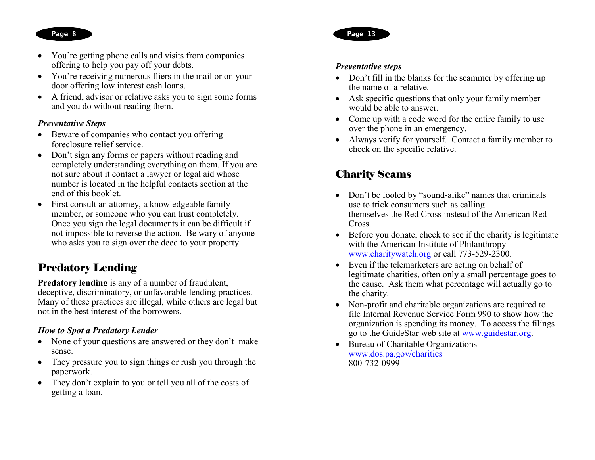- You're getting phone calls and visits from companies offering to help you pay off your debts.
- You're receiving numerous fliers in the mail or on your door offering low interest cash loans.
- A friend, advisor or relative asks you to sign some forms and you do without reading them.

#### *Preventative Steps*

- Beware of companies who contact you offering foreclosure relief service.
- Don't sign any forms or papers without reading and completely understanding everything on them. If you are not sure about it contact a lawyer or legal aid whose number is located in the helpful contacts section at the end of this booklet.
- First consult an attorney, a knowledgeable family member, or someone who you can trust completely. Once you sign the legal documents it can be difficult if not impossible to reverse the action. Be wary of anyone who asks you to sign over the deed to your property.

### Predatory Lending

**Predatory lending** is any of a number of fraudulent, deceptive, discriminatory, or unfavorable lending practices. Many of these practices are illegal, while others are legal but not in the best interest of the borrowers.

#### *How to Spot a Predatory Lender*

- None of your questions are answered or they don't make sense.
- They pressure you to sign things or rush you through the paperwork.
- They don't explain to you or tell you all of the costs of getting a loan.



#### *Preventative steps*

- Don't fill in the blanks for the scammer by offering up the name of a relative*.*
- Ask specific questions that only your family member would be able to answer.
- Come up with a code word for the entire family to use over the phone in an emergency.
- Always verify for yourself. Contact a family member to check on the specific relative.

## Charity Scams

- Don't be fooled by "sound-alike" names that criminals use to trick consumers such as calling themselves the Red Cross instead of the American Red Cross.
- Before you donate, check to see if the charity is legitimate with the American Institute of Philanthropy [www.charitywatch.org](http://www.charitywatch.org/) or call 773-529-2300.
- Even if the telemarketers are acting on behalf of legitimate charities, often only a small percentage goes to the cause. Ask them what percentage will actually go to the charity.
- Non-profit and charitable organizations are required to file Internal Revenue Service Form 990 to show how the organization is spending its money. To access the filings go to the GuideStar web site at [www.guidestar.org.](http://www.guidestar.org/)
- Bureau of Charitable Organizations [www.dos.pa.gov/charities](http://www.dos.pa.gov/charities) 800-732-0999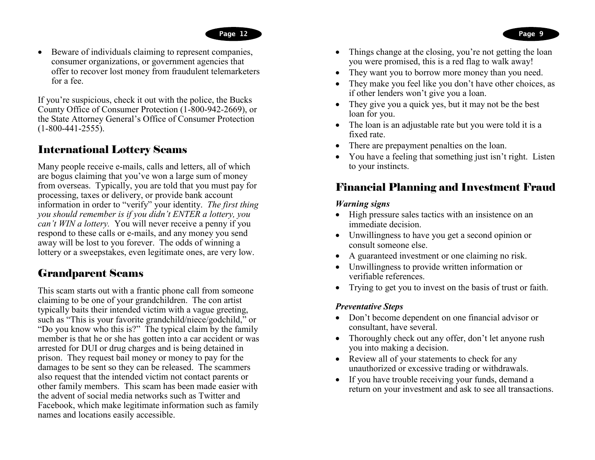• Beware of individuals claiming to represent companies, consumer organizations, or government agencies that offer to recover lost money from fraudulent telemarketers for a fee.

If you're suspicious, check it out with the police, the Bucks County Office of Consumer Protection (1-800-942-2669), or the State Attorney General's Office of Consumer Protection (1-800-441-2555).

### International Lottery Scams

Many people receive e-mails, calls and letters, all of which are bogus claiming that you've won a large sum of money from overseas. Typically, you are told that you must pay for processing, taxes or delivery, or provide bank account information in order to "verify" your identity. *The first thing you should remember is if you didn't ENTER a lottery, you can't WIN a lottery.* You will never receive a penny if you respond to these calls or e-mails, and any money you send away will be lost to you forever. The odds of winning a lottery or a sweepstakes, even legitimate ones, are very low.

### Grandparent Scams

This scam starts out with a frantic phone call from someone claiming to be one of your grandchildren. The con artist typically baits their intended victim with a vague greeting, such as "This is your favorite grandchild/niece/godchild," or "Do you know who this is?" The typical claim by the family member is that he or she has gotten into a car accident or was arrested for DUI or drug charges and is being detained in prison. They request bail money or money to pay for the damages to be sent so they can be released. The scammers also request that the intended victim not contact parents or other family members. This scam has been made easier with the advent of social media networks such as Twitter and Facebook, which make legitimate information such as family names and locations easily accessible.

- Things change at the closing, you're not getting the loan you were promised, this is a red flag to walk away!
- They want you to borrow more money than you need.
- They make you feel like you don't have other choices, as if other lenders won't give you a loan.
- They give you a quick yes, but it may not be the best loan for you.
- The loan is an adjustable rate but you were told it is a fixed rate.
- There are prepayment penalties on the loan.
- You have a feeling that something just isn't right. Listen to your instincts.

### Financial Planning and Investment Fraud

#### *Warning signs*

- High pressure sales tactics with an insistence on an immediate decision.
- Unwillingness to have you get a second opinion or consult someone else.
- A guaranteed investment or one claiming no risk.
- Unwillingness to provide written information or verifiable references.
- Trying to get you to invest on the basis of trust or faith.

#### *Preventative Steps*

- Don't become dependent on one financial advisor or consultant, have several.
- Thoroughly check out any offer, don't let anyone rush you into making a decision.
- Review all of your statements to check for any unauthorized or excessive trading or withdrawals.
- If you have trouble receiving your funds, demand a return on your investment and ask to see all transactions.